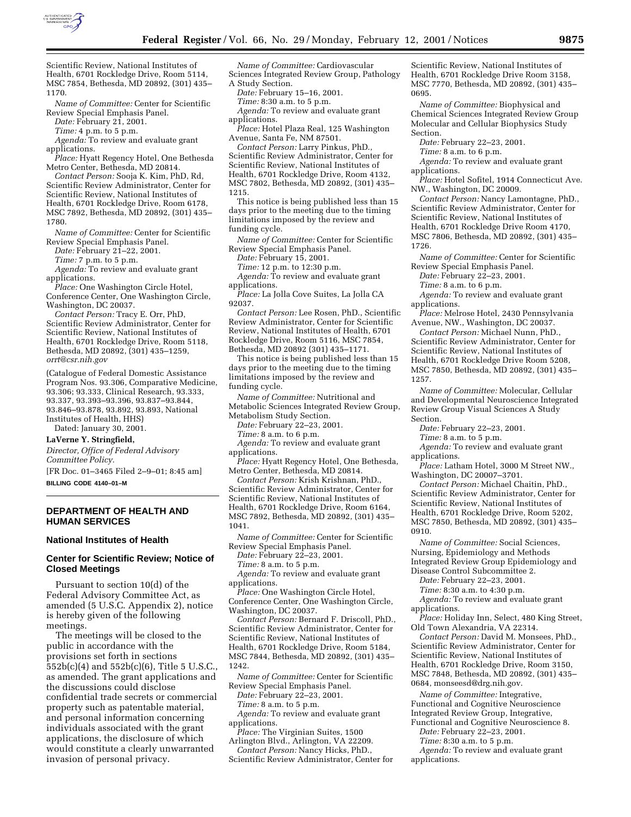

Scientific Review, National Institutes of Health, 6701 Rockledge Drive, Room 5114, MSC 7854, Bethesda, MD 20892, (301) 435– 1170.

*Name of Committee:* Center for Scientific Review Special Emphasis Panel.

*Date:* February 21, 2001.

*Time:* 4 p.m. to 5 p.m.

*Agenda:* To review and evaluate grant applications.

*Place:* Hyatt Regency Hotel, One Bethesda Metro Center, Bethesda, MD 20814.

*Contact Person:* Sooja K. Kim, PhD, Rd, Scientific Review Administrator, Center for Scientific Review, National Institutes of Health, 6701 Rockledge Drive, Room 6178, MSC 7892, Bethesda, MD 20892, (301) 435– 1780.

*Name of Committee:* Center for Scientific Review Special Emphasis Panel.

*Date:* February 21–22, 2001.

*Time:* 7 p.m. to 5 p.m.

*Agenda:* To review and evaluate grant applications.

*Place:* One Washington Circle Hotel, Conference Center, One Washington Circle, Washington, DC 20037.

*Contact Person:* Tracy E. Orr, PhD, Scientific Review Administrator, Center for Scientific Review, National Institutes of Health, 6701 Rockledge Drive, Room 5118, Bethesda, MD 20892, (301) 435–1259, *orrt@csr.nih.gov*

(Catalogue of Federal Domestic Assistance Program Nos. 93.306, Comparative Medicine, 93.306; 93.333, Clinical Research, 93.333, 93.337, 93.393–93.396, 93.837–93.844, 93.846–93.878, 93.892, 93.893, National Institutes of Health, HHS)

Dated: January 30, 2001.

# **LaVerne Y. Stringfield,**

*Director, Office of Federal Advisory Committee Policy.*

[FR Doc. 01–3465 Filed 2–9–01; 8:45 am] **BILLING CODE 4140–01–M**

# **DEPARTMENT OF HEALTH AND HUMAN SERVICES**

## **National Institutes of Health**

# **Center for Scientific Review; Notice of Closed Meetings**

Pursuant to section 10(d) of the Federal Advisory Committee Act, as amended (5 U.S.C. Appendix 2), notice is hereby given of the following meetings.

The meetings will be closed to the public in accordance with the provisions set forth in sections 552b(c)(4) and 552b(c)(6), Title 5 U.S.C., as amended. The grant applications and the discussions could disclose confidential trade secrets or commercial property such as patentable material, and personal information concerning individuals associated with the grant applications, the disclosure of which would constitute a clearly unwarranted invasion of personal privacy.

*Name of Committee:* Cardiovascular Sciences Integrated Review Group, Pathology A Study Section.

*Date:* February 15–16, 2001.

*Time:* 8:30 a.m. to 5 p.m.

*Agenda:* To review and evaluate grant applications.

*Place:* Hotel Plaza Real, 125 Washington Avenue, Santa Fe, NM 87501.

*Contact Person:* Larry Pinkus, PhD., Scientific Review Administrator, Center for Scientific Review, National Institutes of Health, 6701 Rockledge Drive, Room 4132, MSC 7802, Bethesda, MD 20892, (301) 435– 1215.

This notice is being published less than 15 days prior to the meeting due to the timing limitations imposed by the review and funding cycle.

*Name of Committee:* Center for Scientific Review Special Emphasis Panel.

*Date:* February 15, 2001.

*Time:* 12 p.m. to 12:30 p.m.

*Agenda:* To review and evaluate grant applications.

*Place:* La Jolla Cove Suites, La Jolla CA 92037.

*Contact Person:* Lee Rosen, PhD., Scientific Review Administrator, Center for Scientific Review, National Institutes of Health, 6701 Rockledge Drive, Room 5116, MSC 7854, Bethesda, MD 20892 (301) 435–1171.

This notice is being published less than 15 days prior to the meeting due to the timing limitations imposed by the review and funding cycle.

*Name of Committee:* Nutritional and Metabolic Sciences Integrated Review Group, Metabolism Study Section.

*Date:* February 22–23, 2001.

- *Time:* 8 a.m. to 6 p.m.
- *Agenda:* To review and evaluate grant applications.
- *Place:* Hyatt Regency Hotel, One Bethesda, Metro Center, Bethesda, MD 20814.

*Contact Person:* Krish Krishnan, PhD., Scientific Review Administrator, Center for Scientific Review, National Institutes of Health, 6701 Rockledge Drive, Room 6164, MSC 7892, Bethesda, MD 20892, (301) 435– 1041.

*Name of Committee:* Center for Scientific Review Special Emphasis Panel.

*Date:* February 22–23, 2001.

*Time:* 8 a.m. to 5 p.m.

*Agenda:* To review and evaluate grant applications.

*Place:* One Washington Circle Hotel,

Conference Center, One Washington Circle, Washington, DC 20037.

*Contact Person:* Bernard F. Driscoll, PhD., Scientific Review Administrator, Center for Scientific Review, National Institutes of Health, 6701 Rockledge Drive, Room 5184, MSC 7844, Bethesda, MD 20892, (301) 435– 1242.

*Name of Committee:* Center for Scientific Review Special Emphasis Panel.

*Date:* February 22–23, 2001.

*Time:* 8 a.m. to 5 p.m.

*Agenda:* To review and evaluate grant applications.

*Place:* The Virginian Suites, 1500

Arlington Blvd., Arlington, VA 22209. *Contact Person:* Nancy Hicks, PhD.,

Scientific Review Administrator, Center for

Scientific Review, National Institutes of Health, 6701 Rockledge Drive Room 3158, MSC 7770, Bethesda, MD 20892, (301) 435– 0695.

*Name of Committee:* Biophysical and Chemical Sciences Integrated Review Group Molecular and Cellular Biophysics Study Section.

*Date:* February 22–23, 2001.

*Time:* 8 a.m. to 6 p.m.

*Agenda:* To review and evaluate grant applications.

*Place:* Hotel Sofitel, 1914 Connecticut Ave. NW., Washington, DC 20009.

*Contact Person:* Nancy Lamontagne, PhD., Scientific Review Administrator, Center for Scientific Review, National Institutes of Health, 6701 Rockledge Drive Room 4170, MSC 7806, Bethesda, MD 20892, (301) 435– 1726.

*Name of Committee:* Center for Scientific Review Special Emphasis Panel.

*Date:* February 22–23, 2001.

*Time:* 8 a.m. to 6 p.m.

*Agenda:* To review and evaluate grant applications.

*Place:* Melrose Hotel, 2430 Pennsylvania Avenue, NW., Washington, DC 20037.

*Contact Person:* Michael Nunn, PhD., Scientific Review Administrator, Center for Scientific Review, National Institutes of Health, 6701 Rockledge Drive Room 5208, MSC 7850, Bethesda, MD 20892, (301) 435– 1257.

*Name of Committee:* Molecular, Cellular and Developmental Neuroscience Integrated Review Group Visual Sciences A Study Section.

*Date:* February 22–23, 2001.

*Time:* 8 a.m. to 5 p.m.

*Agenda:* To review and evaluate grant applications.

*Place:* Latham Hotel, 3000 M Street NW., Washington, DC 20007–3701.

*Contact Person:* Michael Chaitin, PhD., Scientific Review Administrator, Center for Scientific Review, National Institutes of Health, 6701 Rockledge Drive, Room 5202, MSC 7850, Bethesda, MD 20892, (301) 435– 0910.

*Name of Committee:* Social Sciences, Nursing, Epidemiology and Methods Integrated Review Group Epidemiology and Disease Control Subcommittee 2.

*Date:* February 22–23, 2001.

*Time:* 8:30 a.m. to 4:30 p.m.

*Agenda:* To review and evaluate grant applications.

*Place:* Holiday Inn, Select, 480 King Street, Old Town Alexandria, VA 22314.

*Contact Person:* David M. Monsees, PhD., Scientific Review Administrator, Center for Scientific Review, National Institutes of Health, 6701 Rockledge Drive, Room 3150, MSC 7848, Bethesda, MD 20892, (301) 435– 0684, monseesd@drg.nih.gov.

*Name of Committee:* Integrative, Functional and Cognitive Neuroscience Integrated Review Group, Integrative,

Functional and Cognitive Neuroscience 8. *Date:* February 22–23, 2001.

*Time:* 8:30 a.m. to 5 p.m.

*Agenda:* To review and evaluate grant applications.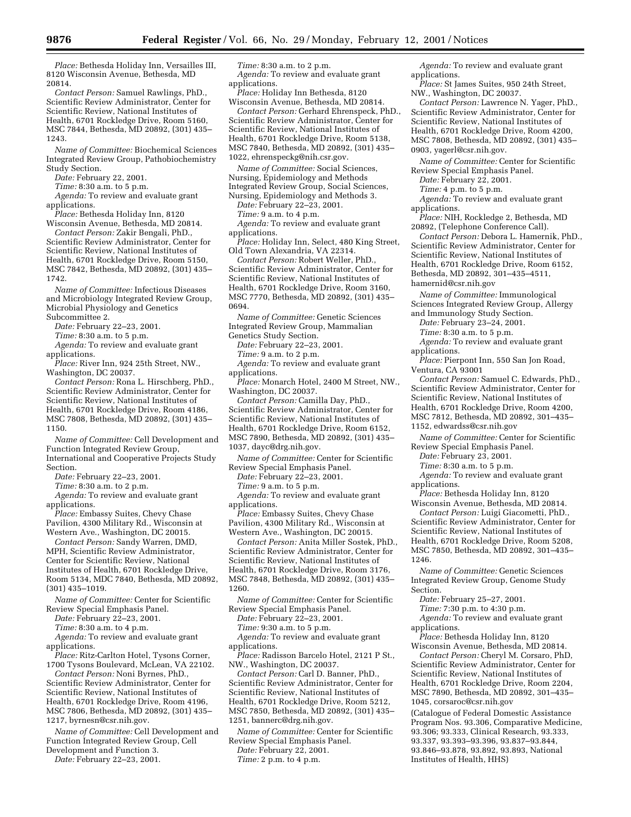*Place:* Bethesda Holiday Inn, Versailles III, 8120 Wisconsin Avenue, Bethesda, MD 20814.

*Contact Person:* Samuel Rawlings, PhD., Scientific Review Administrator, Center for Scientific Review, National Institutes of Health, 6701 Rockledge Drive, Room 5160, MSC 7844, Bethesda, MD 20892, (301) 435– 1243.

*Name of Committee:* Biochemical Sciences Integrated Review Group, Pathobiochemistry Study Section.

*Date:* February 22, 2001.

*Time:* 8:30 a.m. to 5 p.m.

*Agenda:* To review and evaluate grant applications.

*Place:* Bethesda Holiday Inn, 8120 Wisconsin Avenue, Bethesda, MD 20814.

*Contact Person:* Zakir Bengali, PhD., Scientific Review Administrator, Center for Scientific Review, National Institutes of Health, 6701 Rockledge Drive, Room 5150, MSC 7842, Bethesda, MD 20892, (301) 435– 1742.

*Name of Committee:* Infectious Diseases and Microbiology Integrated Review Group, Microbial Physiology and Genetics Subcommittee 2.

*Date:* February 22–23, 2001.

*Time:* 8:30 a.m. to 5 p.m.

*Agenda:* To review and evaluate grant applications.

*Place:* River Inn, 924 25th Street, NW., Washington, DC 20037.

*Contact Person:* Rona L. Hirschberg, PhD., Scientific Review Administrator, Center for Scientific Review, National Institutes of Health, 6701 Rockledge Drive, Room 4186, MSC 7808, Bethesda, MD 20892, (301) 435– 1150.

*Name of Committee:* Cell Development and Function Integrated Review Group, International and Cooperative Projects Study

Section.

*Date:* February 22–23, 2001.

*Time:* 8:30 a.m. to 2 p.m.

*Agenda:* To review and evaluate grant applications.

*Place:* Embassy Suites, Chevy Chase Pavilion, 4300 Military Rd., Wisconsin at Western Ave., Washington, DC 20015.

*Contact Person:* Sandy Warren, DMD, MPH, Scientific Review Administrator, Center for Scientific Review, National Institutes of Health, 6701 Rockledge Drive, Room 5134, MDC 7840, Bethesda, MD 20892, (301) 435–1019.

*Name of Committee:* Center for Scientific Review Special Emphasis Panel.

*Date:* February 22–23, 2001.

*Time:* 8:30 a.m. to 4 p.m.

*Agenda:* To review and evaluate grant applications.

*Place:* Ritz-Carlton Hotel, Tysons Corner, 1700 Tysons Boulevard, McLean, VA 22102.

*Contact Person:* Noni Byrnes, PhD., Scientific Review Administrator, Center for Scientific Review, National Institutes of Health, 6701 Rockledge Drive, Room 4196, MSC 7806, Bethesda, MD 20892, (301) 435– 1217, byrnesn@csr.nih.gov.

*Name of Committee:* Cell Development and Function Integrated Review Group, Cell Development and Function 3.

*Date:* February 22–23, 2001.

*Time:* 8:30 a.m. to 2 p.m. *Agenda:* To review and evaluate grant applications.

*Place:* Holiday Inn Bethesda, 8120 Wisconsin Avenue, Bethesda, MD 20814.

*Contact Person:* Gerhard Ehrenspeck, PhD., Scientific Review Administrator, Center for Scientific Review, National Institutes of Health, 6701 Rockledge Drive, Room 5138, MSC 7840, Bethesda, MD 20892, (301) 435– 1022, ehrenspeckg@nih.csr.gov.

*Name of Committee:* Social Sciences, Nursing, Epidemiology and Methods Integrated Review Group, Social Sciences, Nursing, Epidemiology and Methods 3.

*Date:* February 22–23, 2001.

*Time:* 9 a.m. to 4 p.m.

*Agenda:* To review and evaluate grant applications.

*Place:* Holiday Inn, Select, 480 King Street, Old Town Alexandria, VA 22314.

*Contact Person:* Robert Weller, PhD., Scientific Review Administrator, Center for Scientific Review, National Institutes of Health, 6701 Rockledge Drive, Room 3160, MSC 7770, Bethesda, MD 20892, (301) 435– 0694.

*Name of Committee:* Genetic Sciences Integrated Review Group, Mammalian Genetics Study Section.

*Date:* February 22–23, 2001.

*Time:* 9 a.m. to 2 p.m.

*Agenda:* To review and evaluate grant applications.

*Place:* Monarch Hotel, 2400 M Street, NW., Washington, DC 20037.

*Contact Person:* Camilla Day, PhD., Scientific Review Administrator, Center for Scientific Review, National Institutes of Health, 6701 Rockledge Drive, Room 6152, MSC 7890, Bethesda, MD 20892, (301) 435– 1037, dayc@drg.nih.gov.

*Name of Committee:* Center for Scientific Review Special Emphasis Panel.

*Date:* February 22–23, 2001.

*Time:* 9 a.m. to 5 p.m.

*Agenda:* To review and evaluate grant applications.

*Place:* Embassy Suites, Chevy Chase Pavilion, 4300 Military Rd., Wisconsin at Western Ave., Washington, DC 20015.

*Contact Person:* Anita Miller Sostek, PhD., Scientific Review Administrator, Center for Scientific Review, National Institutes of Health, 6701 Rockledge Drive, Room 3176, MSC 7848, Bethesda, MD 20892, (301) 435– 1260.

*Name of Committee:* Center for Scientific Review Special Emphasis Panel.

*Date:* February 22–23, 2001.

*Time:* 9:30 a.m. to 5 p.m.

*Agenda:* To review and evaluate grant applications.

*Place:* Radisson Barcelo Hotel, 2121 P St., NW., Washington, DC 20037.

*Contact Person:* Carl D. Banner, PhD., Scientific Review Administrator, Center for Scientific Review, National Institutes of Health, 6701 Rockledge Drive, Room 5212, MSC 7850, Bethesda, MD 20892, (301) 435– 1251, bannerc@drg.nih.gov.

*Name of Committee:* Center for Scientific Review Special Emphasis Panel.

*Date:* February 22, 2001. *Time:* 2 p.m. to 4 p.m.

*Agenda:* To review and evaluate grant applications.

*Place:* St James Suites, 950 24th Street, NW., Washington, DC 20037.

*Contact Person:* Lawrence N. Yager, PhD., Scientific Review Administrator, Center for Scientific Review, National Institutes of Health, 6701 Rockledge Drive, Room 4200, MSC 7808, Bethesda, MD 20892, (301) 435– 0903, yagerl@csr.nih.gov.

*Name of Committee:* Center for Scientific Review Special Emphasis Panel.

*Date:* February 22, 2001.

*Time:* 4 p.m. to 5 p.m.

*Agenda:* To review and evaluate grant applications.

*Place:* NIH, Rockledge 2, Bethesda, MD 20892, (Telephone Conference Call).

*Contact Person:* Debora L. Hamernik, PhD., Scientific Review Administrator, Center for Scientific Review, National Institutes of Health, 6701 Rockledge Drive, Room 6152, Bethesda, MD 20892, 301–435–4511, hamernid@csr.nih.gov

*Name of Committee:* Immunological Sciences Integrated Review Group, Allergy and Immunology Study Section.

*Date:* February 23–24, 2001.

*Time:* 8:30 a.m. to 5 p.m.

*Agenda:* To review and evaluate grant applications.

*Place:* Pierpont Inn, 550 San Jon Road, Ventura, CA 93001

*Contact Person:* Samuel C. Edwards, PhD., Scientific Review Administrator, Center for Scientific Review, National Institutes of Health, 6701 Rockledge Drive, Room 4200, MSC 7812, Bethesda, MD 20892, 301–435– 1152, edwardss@csr.nih.gov

*Name of Committee:* Center for Scientific Review Special Emphasis Panel.

*Date:* February 23, 2001.

*Time:* 8:30 a.m. to 5 p.m.

*Agenda:* To review and evaluate grant applications.

*Place:* Bethesda Holiday Inn, 8120 Wisconsin Avenue, Bethesda, MD 20814.

*Contact Person:* Luigi Giacometti, PhD., Scientific Review Administrator, Center for Scientific Review, National Institutes of Health, 6701 Rockledge Drive, Room 5208, MSC 7850, Bethesda, MD 20892, 301–435– 1246.

*Name of Committee:* Genetic Sciences Integrated Review Group, Genome Study Section.

*Date:* February 25–27, 2001.

*Time:* 7:30 p.m. to 4:30 p.m. *Agenda:* To review and evaluate grant

applications.

*Place:* Bethesda Holiday Inn, 8120 Wisconsin Avenue, Bethesda, MD 20814.

*Contact Person:* Cheryl M. Corsaro, PhD, Scientific Review Administrator, Center for Scientific Review, National Institutes of Health, 6701 Rockledge Drive, Room 2204, MSC 7890, Bethesda, MD 20892, 301–435– 1045, corsaroc@csr.nih.gov

(Catalogue of Federal Domestic Assistance Program Nos. 93.306, Comparative Medicine, 93.306; 93.333, Clinical Research, 93.333, 93.337, 93.393–93.396, 93.837–93.844, 93.846–93.878, 93.892, 93.893, National Institutes of Health, HHS)